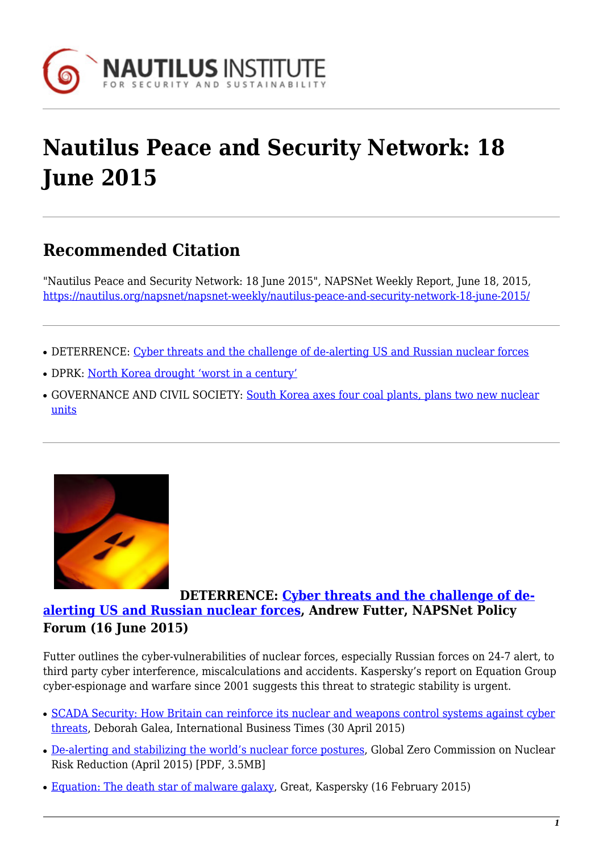

# **Nautilus Peace and Security Network: 18 June 2015**

## **Recommended Citation**

"Nautilus Peace and Security Network: 18 June 2015", NAPSNet Weekly Report, June 18, 2015, <https://nautilus.org/napsnet/napsnet-weekly/nautilus-peace-and-security-network-18-june-2015/>

- DETERRENCE: [Cyber threats and the challenge of de-alerting US and Russian nuclear forces](#page--1-0)
- DPRK: [North Korea drought 'worst in a century'](#page--1-0)
- GOVERNANCE AND CIVIL SOCIETY: [South Korea axes four coal plants, plans two new nuclear](#page--1-0) [units](#page--1-0)



### **DETERRENCE: [Cyber threats and the challenge of de](https://nautilus.org/napsnet/napsnet-policy-forum/cyber-threats-and-the-challenge-of-de-alerting-us-and-russian-nuclear-forces/)[alerting US and Russian nuclear forces](https://nautilus.org/napsnet/napsnet-policy-forum/cyber-threats-and-the-challenge-of-de-alerting-us-and-russian-nuclear-forces/), Andrew Futter, NAPSNet Policy Forum (16 June 2015)**

Futter outlines the cyber-vulnerabilities of nuclear forces, especially Russian forces on 24-7 alert, to third party cyber interference, miscalculations and accidents. Kaspersky's report on Equation Group cyber-espionage and warfare since 2001 suggests this threat to strategic stability is urgent.

- [SCADA Security: How Britain can reinforce its nuclear and weapons control systems against cyber](http://www.ibtimes.co.uk/scada-security-how-britain-can-reinforce-its-nuclear-weapons-control-systems-against-cyber-threats-1498544) [threats,](http://www.ibtimes.co.uk/scada-security-how-britain-can-reinforce-its-nuclear-weapons-control-systems-against-cyber-threats-1498544) Deborah Galea, International Business Times (30 April 2015)
- [De-alerting and stabilizing the world's nuclear force postures](http://www.globalzero.org/files/global_zero_commission_on_nuclear_risk_reduction_report.pdf), Global Zero Commission on Nuclear Risk Reduction (April 2015) [PDF, 3.5MB]
- [Equation: The death star of malware galaxy,](https://securelist.com/blog/research/68750/equation-the-death-star-of-malware-galaxy/) Great, Kaspersky (16 February 2015)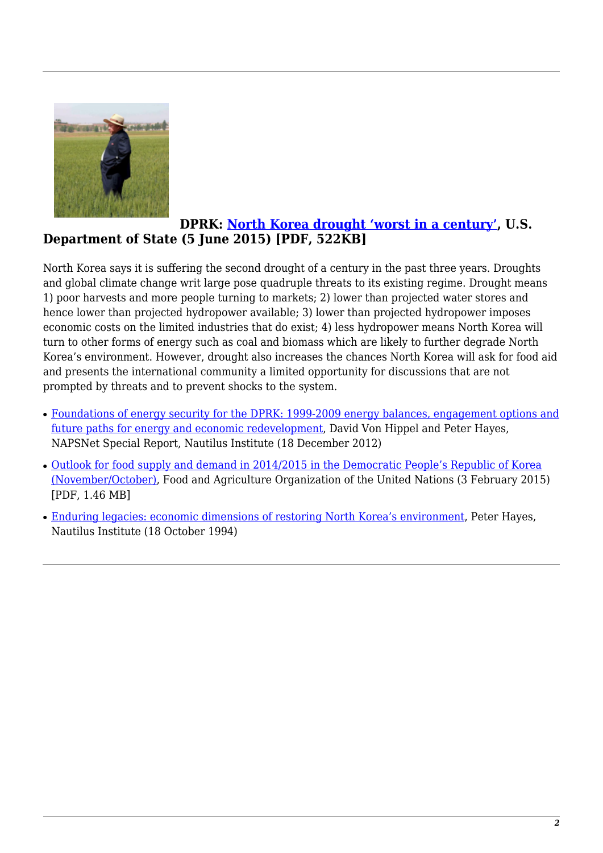

#### **DPRK: [North Korea drought 'worst in a century'](http://www.dw.de/north-korea-drought-worst-in-a-century/a-18521655), U.S. Department of State (5 June 2015) [PDF, 522KB]**

North Korea says it is suffering the second drought of a century in the past three years. Droughts and global climate change writ large pose quadruple threats to its existing regime. Drought means 1) poor harvests and more people turning to markets; 2) lower than projected water stores and hence lower than projected hydropower available; 3) lower than projected hydropower imposes economic costs on the limited industries that do exist; 4) less hydropower means North Korea will turn to other forms of energy such as coal and biomass which are likely to further degrade North Korea's environment. However, drought also increases the chances North Korea will ask for food aid and presents the international community a limited opportunity for discussions that are not prompted by threats and to prevent shocks to the system.

- [Foundations of energy security for the DPRK: 1999-2009 energy balances, engagement options and](https://nautilus.org/napsnet/napsnet-special-reports/foundations-of-energy-security-for-the-dprk-1990-2009-energy-balances-engagement-options-and-future-paths-for-energy-and-economic-redevelopment/) [future paths for energy and economic redevelopment,](https://nautilus.org/napsnet/napsnet-special-reports/foundations-of-energy-security-for-the-dprk-1990-2009-energy-balances-engagement-options-and-future-paths-for-energy-and-economic-redevelopment/) David Von Hippel and Peter Hayes, NAPSNet Special Report, Nautilus Institute (18 December 2012)
- [Outlook for food supply and demand in 2014/2015 in the Democratic People's Republic of Korea](http://www.fao.org/giews/english/shortnews/20150203DPRK.pdf) [\(November/October\),](http://www.fao.org/giews/english/shortnews/20150203DPRK.pdf) Food and Agriculture Organization of the United Nations (3 February 2015) [PDF, 1.46 MB]
- [Enduring legacies: economic dimensions of restoring North Korea's environment,](https://nautilus.org/staff-publications/enduring-legacies-economic-dimensions-of-restoring-north-koreas-environment/) Peter Hayes, Nautilus Institute (18 October 1994)